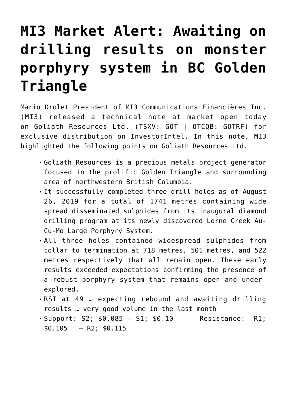## **[MI3 Market Alert: Awaiting on](https://investorintel.com/markets/gold-silver-base-metals/gold-precious-metals-intel/mi3-market-alert-awaiting-drilling-results-monster-porphyry-system-bc-golden-triangle/) [drilling results on monster](https://investorintel.com/markets/gold-silver-base-metals/gold-precious-metals-intel/mi3-market-alert-awaiting-drilling-results-monster-porphyry-system-bc-golden-triangle/) [porphyry system in BC Golden](https://investorintel.com/markets/gold-silver-base-metals/gold-precious-metals-intel/mi3-market-alert-awaiting-drilling-results-monster-porphyry-system-bc-golden-triangle/) [Triangle](https://investorintel.com/markets/gold-silver-base-metals/gold-precious-metals-intel/mi3-market-alert-awaiting-drilling-results-monster-porphyry-system-bc-golden-triangle/)**

Mario Drolet President of MI3 Communications Financières Inc. (MI3) released a technical note at market open today on [Goliath Resources Ltd.](https://goliathresourcesltd.com/) (TSXV: GOT | OTCQB: GOTRF) for exclusive distribution on InvestorIntel. In this note, MI3 highlighted the following points on Goliath Resources Ltd.

- Goliath Resources is a precious metals project generator focused in the prolific Golden Triangle and surrounding area of northwestern British Columbia.
- It successfully completed three drill holes as of August 26, 2019 for a total of 1741 metres containing wide spread disseminated sulphides from its inaugural diamond drilling program at its newly discovered Lorne Creek Au-Cu-Mo Large Porphyry System.
- All three holes contained widespread sulphides from collar to termination at 718 metres, 501 metres, and 522 metres respectively that all remain open. These early results exceeded expectations confirming the presence of a robust porphyry system that remains open and underexplored,
- RSI at 49 … expecting rebound and awaiting drilling results … very good volume in the last month
- Support: S2; \$0.085 S1; \$0.10 Resistance: R1;  $$0.105$  – R2;  $$0.115$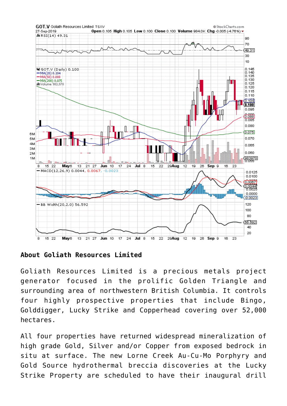

**About Goliath Resources Limited**

Goliath Resources Limited is a precious metals project generator focused in the prolific Golden Triangle and surrounding area of northwestern British Columbia. It controls four highly prospective properties that include Bingo, Golddigger, Lucky Strike and Copperhead covering over 52,000 hectares.

All four properties have returned widespread mineralization of high grade Gold, Silver and/or Copper from exposed bedrock in situ at surface. The new Lorne Creek Au-Cu-Mo Porphyry and Gold Source hydrothermal breccia discoveries at the Lucky Strike Property are scheduled to have their inaugural drill